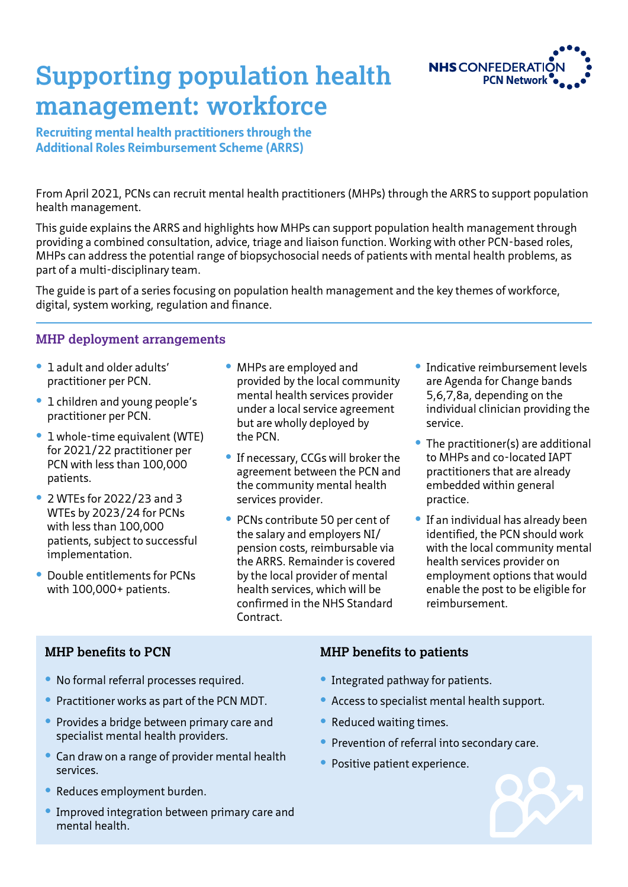

# **Supporting population health management: workforce**

# **Recruiting mental health practitioners through the Additional Roles Reimbursement Scheme (ARRS)**

From April 2021, PCNs can recruit mental health practitioners (MHPs) through the ARRS to support population health management.

This guide explains the ARRS and highlights how MHPs can support population health management through providing a combined consultation, advice, triage and liaison function. Working with other PCN-based roles, MHPs can address the potential range of biopsychosocial needs of patients with mental health problems, as part of a multi-disciplinary team.

The guide is part of a series focusing on population health management and the key themes of workforce, digital, system working, regulation and finance.

#### **MHP deployment arrangements**

- 1 adult and older adults' practitioner per PCN.
- 1 children and young people's practitioner per PCN.
- 1 whole-time equivalent (WTE) for 2021/22 practitioner per PCN with less than 100,000 patients.
- 2 WTEs for 2022/23 and 3 WTEs by 2023/24 for PCNs with less than 100,000 patients, subject to successful implementation.
- Double entitlements for PCNs with 100,000+ patients.
- MHPs are employed and provided by the local community mental health services provider under a local service agreement but are wholly deployed by the PCN.
- If necessary, CCGs will broker the agreement between the PCN and the community mental health services provider.
- PCNs contribute 50 per cent of the salary and employers NI/ pension costs, reimbursable via the ARRS. Remainder is covered by the local provider of mental health services, which will be confirmed in the NHS Standard Contract.
- Indicative reimbursement levels are Agenda for Change bands 5,6,7,8a, depending on the individual clinician providing the service.
- The practitioner(s) are additional to MHPs and co-located IAPT practitioners that are already embedded within general practice.
- If an individual has already been identified, the PCN should work with the local community mental health services provider on employment options that would enable the post to be eligible for reimbursement.

#### **MHP benefits to PCN**

- No formal referral processes required.
- Practitioner works as part of the PCN MDT.
- Provides a bridge between primary care and specialist mental health providers.
- Can draw on a range of provider mental health services.
- Reduces employment burden.
- Improved integration between primary care and mental health.

#### **MHP benefits to patients**

- Integrated pathway for patients.
- Access to specialist mental health support.
- Reduced waiting times.
- Prevention of referral into secondary care.
- Positive patient experience.